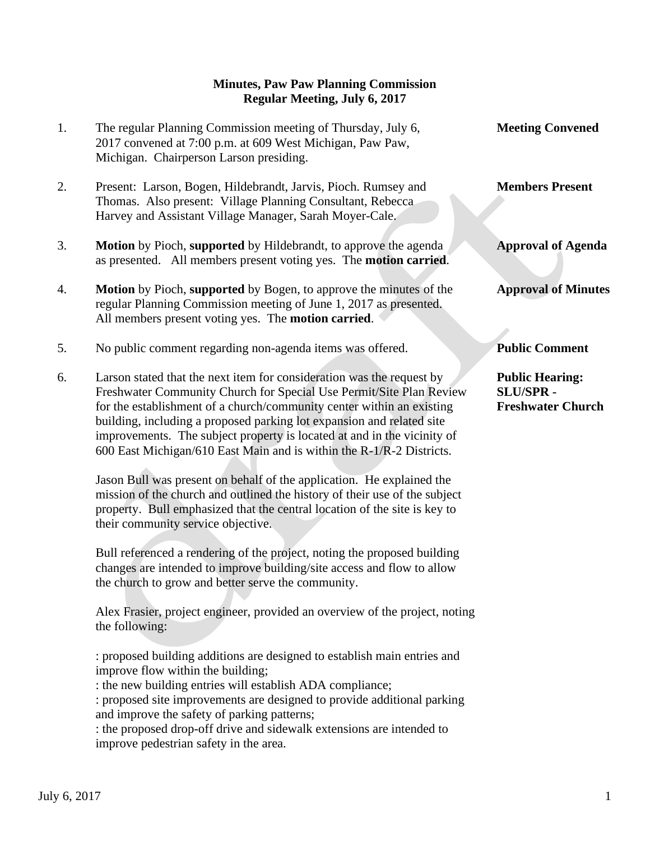## **Minutes, Paw Paw Planning Commission Regular Meeting, July 6, 2017**

1. The regular Planning Commission meeting of Thursday, July 6, **Meeting Convened** 2017 convened at 7:00 p.m. at 609 West Michigan, Paw Paw, Michigan. Chairperson Larson presiding. 2. Present: Larson, Bogen, Hildebrandt, Jarvis, Pioch. Rumsey and **Members Present** Thomas. Also present: Village Planning Consultant, Rebecca Harvey and Assistant Village Manager, Sarah Moyer-Cale. 3. **Motion** by Pioch, **supported** by Hildebrandt, to approve the agenda **Approval of Agenda** as presented. All members present voting yes. The **motion carried**. 4. **Motion** by Pioch, **supported** by Bogen, to approve the minutes of the **Approval of Minutes** regular Planning Commission meeting of June 1, 2017 as presented. All members present voting yes. The **motion carried**. 5. No public comment regarding non-agenda items was offered. **Public Comment** 6. Larson stated that the next item for consideration was the request by **Public Hearing:** Freshwater Community Church for Special Use Permit/Site Plan Review **SLU/SPR**  for the establishment of a church/community center within an existing **Freshwater Church** building, including a proposed parking lot expansion and related site improvements. The subject property is located at and in the vicinity of 600 East Michigan/610 East Main and is within the R-1/R-2 Districts.

 Jason Bull was present on behalf of the application. He explained the mission of the church and outlined the history of their use of the subject property. Bull emphasized that the central location of the site is key to their community service objective.

 Bull referenced a rendering of the project, noting the proposed building changes are intended to improve building/site access and flow to allow the church to grow and better serve the community.

 Alex Frasier, project engineer, provided an overview of the project, noting the following:

 : proposed building additions are designed to establish main entries and improve flow within the building;

: the new building entries will establish ADA compliance;

 : proposed site improvements are designed to provide additional parking and improve the safety of parking patterns;

 : the proposed drop-off drive and sidewalk extensions are intended to improve pedestrian safety in the area.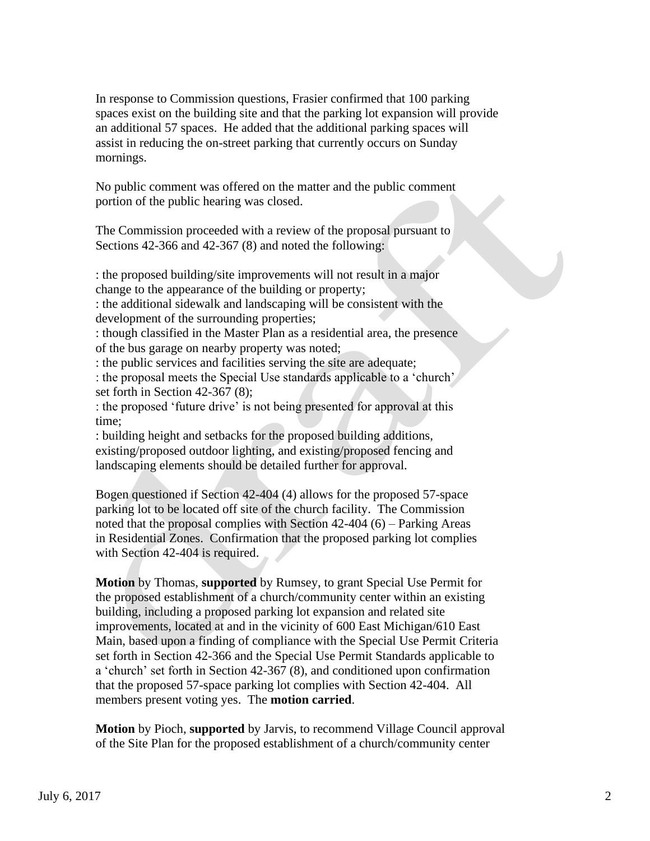In response to Commission questions, Frasier confirmed that 100 parking spaces exist on the building site and that the parking lot expansion will provide an additional 57 spaces. He added that the additional parking spaces will assist in reducing the on-street parking that currently occurs on Sunday mornings.

 No public comment was offered on the matter and the public comment portion of the public hearing was closed.

 The Commission proceeded with a review of the proposal pursuant to Sections 42-366 and 42-367 (8) and noted the following:

 : the proposed building/site improvements will not result in a major change to the appearance of the building or property;

 : the additional sidewalk and landscaping will be consistent with the development of the surrounding properties;

 : though classified in the Master Plan as a residential area, the presence of the bus garage on nearby property was noted;

: the public services and facilities serving the site are adequate;

 : the proposal meets the Special Use standards applicable to a 'church' set forth in Section 42-367 (8);

 : the proposed 'future drive' is not being presented for approval at this time;

 : building height and setbacks for the proposed building additions, existing/proposed outdoor lighting, and existing/proposed fencing and landscaping elements should be detailed further for approval.

 Bogen questioned if Section 42-404 (4) allows for the proposed 57-space parking lot to be located off site of the church facility. The Commission noted that the proposal complies with Section 42-404 (6) – Parking Areas in Residential Zones. Confirmation that the proposed parking lot complies with Section 42-404 is required.

 **Motion** by Thomas, **supported** by Rumsey, to grant Special Use Permit for the proposed establishment of a church/community center within an existing building, including a proposed parking lot expansion and related site improvements, located at and in the vicinity of 600 East Michigan/610 East Main, based upon a finding of compliance with the Special Use Permit Criteria set forth in Section 42-366 and the Special Use Permit Standards applicable to a 'church' set forth in Section 42-367 (8), and conditioned upon confirmation that the proposed 57-space parking lot complies with Section 42-404. All members present voting yes. The **motion carried**.

 **Motion** by Pioch, **supported** by Jarvis, to recommend Village Council approval of the Site Plan for the proposed establishment of a church/community center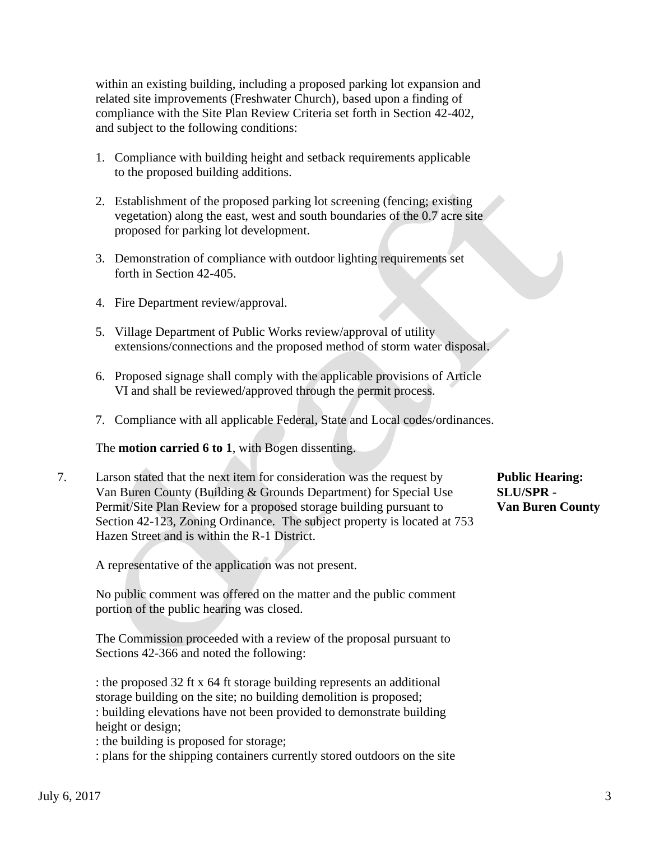within an existing building, including a proposed parking lot expansion and related site improvements (Freshwater Church), based upon a finding of compliance with the Site Plan Review Criteria set forth in Section 42-402, and subject to the following conditions:

- 1. Compliance with building height and setback requirements applicable to the proposed building additions.
- 2. Establishment of the proposed parking lot screening (fencing; existing vegetation) along the east, west and south boundaries of the 0.7 acre site proposed for parking lot development.
- 3. Demonstration of compliance with outdoor lighting requirements set forth in Section 42-405.
- 4. Fire Department review/approval.
- 5. Village Department of Public Works review/approval of utility extensions/connections and the proposed method of storm water disposal.
- 6. Proposed signage shall comply with the applicable provisions of Article VI and shall be reviewed/approved through the permit process.
- 7. Compliance with all applicable Federal, State and Local codes/ordinances.

The **motion carried 6 to 1**, with Bogen dissenting.

7. Larson stated that the next item for consideration was the request by **Public Hearing:** Van Buren County (Building & Grounds Department) for Special Use **SLU/SPR -** Permit/Site Plan Review for a proposed storage building pursuant to **Van Buren County**  Section 42-123, Zoning Ordinance. The subject property is located at 753 Hazen Street and is within the R-1 District.

A representative of the application was not present.

 No public comment was offered on the matter and the public comment portion of the public hearing was closed.

 The Commission proceeded with a review of the proposal pursuant to Sections 42-366 and noted the following:

 : the proposed 32 ft x 64 ft storage building represents an additional storage building on the site; no building demolition is proposed; : building elevations have not been provided to demonstrate building height or design;

: the building is proposed for storage;

: plans for the shipping containers currently stored outdoors on the site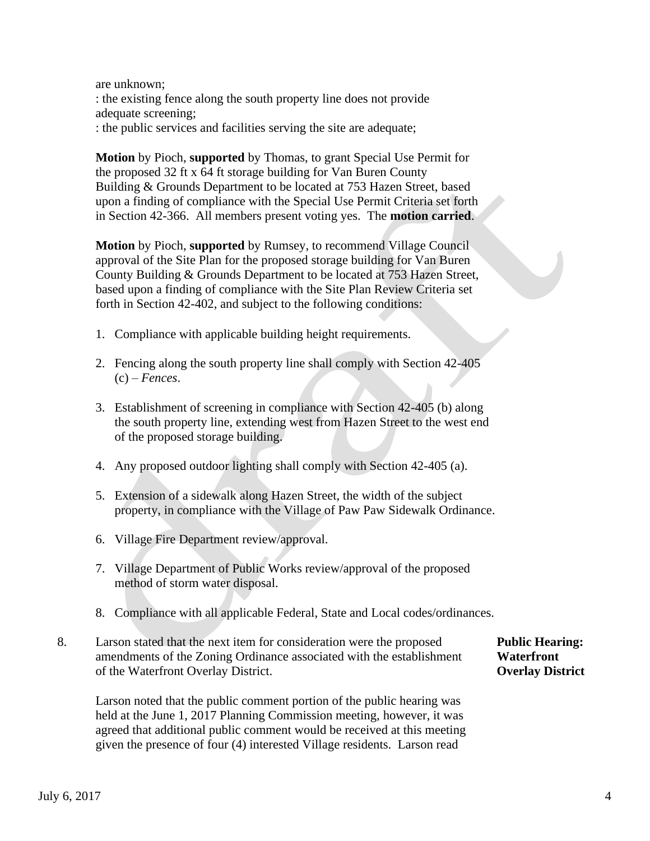are unknown; : the existing fence along the south property line does not provide adequate screening;

: the public services and facilities serving the site are adequate;

 **Motion** by Pioch, **supported** by Thomas, to grant Special Use Permit for the proposed 32 ft x 64 ft storage building for Van Buren County Building & Grounds Department to be located at 753 Hazen Street, based upon a finding of compliance with the Special Use Permit Criteria set forth in Section 42-366. All members present voting yes. The **motion carried**.

 **Motion** by Pioch, **supported** by Rumsey, to recommend Village Council approval of the Site Plan for the proposed storage building for Van Buren County Building & Grounds Department to be located at 753 Hazen Street, based upon a finding of compliance with the Site Plan Review Criteria set forth in Section 42-402, and subject to the following conditions:

- 1. Compliance with applicable building height requirements.
- 2. Fencing along the south property line shall comply with Section 42-405 (c) – *Fences*.
- 3. Establishment of screening in compliance with Section 42-405 (b) along the south property line, extending west from Hazen Street to the west end of the proposed storage building.
- 4. Any proposed outdoor lighting shall comply with Section 42-405 (a).
- 5. Extension of a sidewalk along Hazen Street, the width of the subject property, in compliance with the Village of Paw Paw Sidewalk Ordinance.
- 6. Village Fire Department review/approval.
- 7. Village Department of Public Works review/approval of the proposed method of storm water disposal.
- 8. Compliance with all applicable Federal, State and Local codes/ordinances.
- 8. Larson stated that the next item for consideration were the proposed **Public Hearing:** amendments of the Zoning Ordinance associated with the establishment **Waterfront** of the Waterfront Overlay District. **Overlay District**

 Larson noted that the public comment portion of the public hearing was held at the June 1, 2017 Planning Commission meeting, however, it was agreed that additional public comment would be received at this meeting given the presence of four (4) interested Village residents. Larson read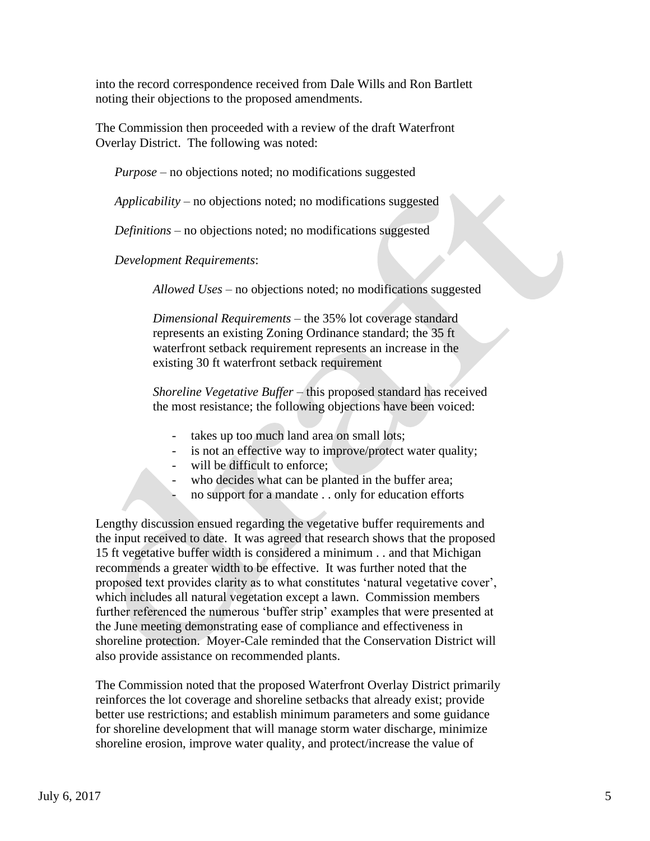into the record correspondence received from Dale Wills and Ron Bartlett noting their objections to the proposed amendments.

 The Commission then proceeded with a review of the draft Waterfront Overlay District. The following was noted:

*Purpose* – no objections noted; no modifications suggested

*Applicability* – no objections noted; no modifications suggested

*Definitions* – no objections noted; no modifications suggested

*Development Requirements*:

*Allowed Uses* – no objections noted; no modifications suggested

*Dimensional Requirements* – the 35% lot coverage standard represents an existing Zoning Ordinance standard; the 35 ft waterfront setback requirement represents an increase in the existing 30 ft waterfront setback requirement

*Shoreline Vegetative Buffer* – this proposed standard has received the most resistance; the following objections have been voiced:

- takes up too much land area on small lots;
- is not an effective way to improve/protect water quality;
- will be difficult to enforce:
- who decides what can be planted in the buffer area;
- no support for a mandate . . only for education efforts

 Lengthy discussion ensued regarding the vegetative buffer requirements and the input received to date. It was agreed that research shows that the proposed 15 ft vegetative buffer width is considered a minimum . . and that Michigan recommends a greater width to be effective. It was further noted that the proposed text provides clarity as to what constitutes 'natural vegetative cover', which includes all natural vegetation except a lawn. Commission members further referenced the numerous 'buffer strip' examples that were presented at the June meeting demonstrating ease of compliance and effectiveness in shoreline protection. Moyer-Cale reminded that the Conservation District will also provide assistance on recommended plants.

 The Commission noted that the proposed Waterfront Overlay District primarily reinforces the lot coverage and shoreline setbacks that already exist; provide better use restrictions; and establish minimum parameters and some guidance for shoreline development that will manage storm water discharge, minimize shoreline erosion, improve water quality, and protect/increase the value of